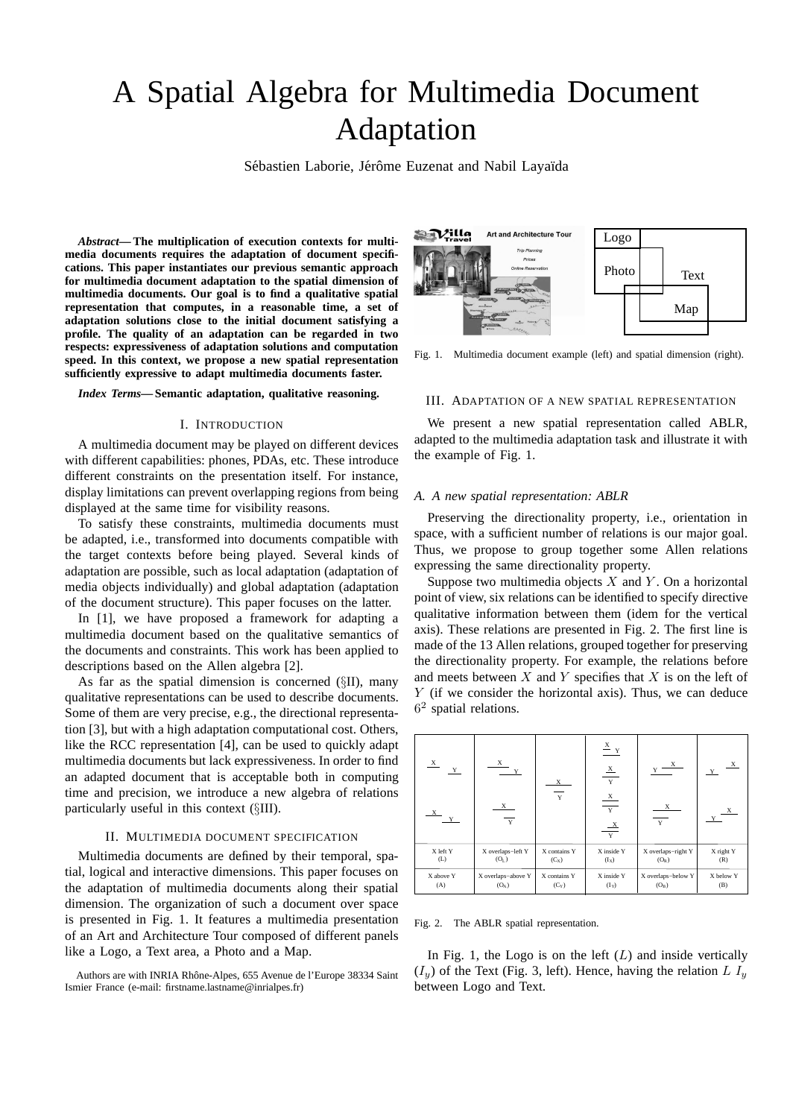# A Spatial Algebra for Multimedia Document Adaptation

Sébastien Laborie, Jérôme Euzenat and Nabil Layaïda

*Abstract***— The multiplication of execution contexts for multimedia documents requires the adaptation of document specifications. This paper instantiates our previous semantic approach for multimedia document adaptation to the spatial dimension of multimedia documents. Our goal is to find a qualitative spatial representation that computes, in a reasonable time, a set of adaptation solutions close to the initial document satisfying a profile. The quality of an adaptation can be regarded in two respects: expressiveness of adaptation solutions and computation speed. In this context, we propose a new spatial representation sufficiently expressive to adapt multimedia documents faster.**

*Index Terms***— Semantic adaptation, qualitative reasoning.**

#### I. INTRODUCTION

A multimedia document may be played on different devices with different capabilities: phones, PDAs, etc. These introduce different constraints on the presentation itself. For instance, display limitations can prevent overlapping regions from being displayed at the same time for visibility reasons.

To satisfy these constraints, multimedia documents must be adapted, i.e., transformed into documents compatible with the target contexts before being played. Several kinds of adaptation are possible, such as local adaptation (adaptation of media objects individually) and global adaptation (adaptation of the document structure). This paper focuses on the latter.

In [1], we have proposed a framework for adapting a multimedia document based on the qualitative semantics of the documents and constraints. This work has been applied to descriptions based on the Allen algebra [2].

As far as the spatial dimension is concerned (§II), many qualitative representations can be used to describe documents. Some of them are very precise, e.g., the directional representation [3], but with a high adaptation computational cost. Others, like the RCC representation [4], can be used to quickly adapt multimedia documents but lack expressiveness. In order to find an adapted document that is acceptable both in computing time and precision, we introduce a new algebra of relations particularly useful in this context (§III).

### II. MULTIMEDIA DOCUMENT SPECIFICATION

Multimedia documents are defined by their temporal, spatial, logical and interactive dimensions. This paper focuses on the adaptation of multimedia documents along their spatial dimension. The organization of such a document over space is presented in Fig. 1. It features a multimedia presentation of an Art and Architecture Tour composed of different panels like a Logo, a Text area, a Photo and a Map.



Fig. 1. Multimedia document example (left) and spatial dimension (right).

## III. ADAPTATION OF A NEW SPATIAL REPRESENTATION

We present a new spatial representation called ABLR, adapted to the multimedia adaptation task and illustrate it with the example of Fig. 1.

#### *A. A new spatial representation: ABLR*

Preserving the directionality property, i.e., orientation in space, with a sufficient number of relations is our major goal. Thus, we propose to group together some Allen relations expressing the same directionality property.

Suppose two multimedia objects  $X$  and  $Y$ . On a horizontal point of view, six relations can be identified to specify directive qualitative information between them (idem for the vertical axis). These relations are presented in Fig. 2. The first line is made of the 13 Allen relations, grouped together for preserving the directionality property. For example, the relations before and meets between  $X$  and  $Y$  specifies that  $X$  is on the left of Y (if we consider the horizontal axis). Thus, we can deduce 6 2 spatial relations.

| $\frac{\mathbf{X}}{X}$<br>Y<br>X | X<br>Y<br>X<br>$\overline{Y}$ | X<br>Y       | $\frac{X}{Y}$<br>$\frac{\mathbf{X}}{\mathbf{Y}}$<br>$\frac{x}{y}$<br>$\frac{X}{Y}$ | X<br>X<br>$\overline{Y}$ | Y         |
|----------------------------------|-------------------------------|--------------|------------------------------------------------------------------------------------|--------------------------|-----------|
| X left Y                         | X overlaps-left Y             | X contains Y | X inside Y                                                                         | X overlaps-right Y       | X right Y |
| (L)                              | $(O_L)$                       | (Cx)         | (Ix)                                                                               | (O <sub>R</sub> )        | (R)       |
| X above Y                        | X overlaps-above Y            | X contains Y | X inside Y                                                                         | X overlaps-below Y       | X below Y |
| (A)                              | $(O_A)$                       | $(C_Y)$      | $(I_Y)$                                                                            | $(O_B)$                  | (B)       |

Fig. 2. The ABLR spatial representation.

In Fig. 1, the Logo is on the left  $(L)$  and inside vertically  $(I_u)$  of the Text (Fig. 3, left). Hence, having the relation L  $I_u$ between Logo and Text.

Authors are with INRIA Rhône-Alpes, 655 Avenue de l'Europe 38334 Saint Ismier France (e-mail: firstname.lastname@inrialpes.fr)